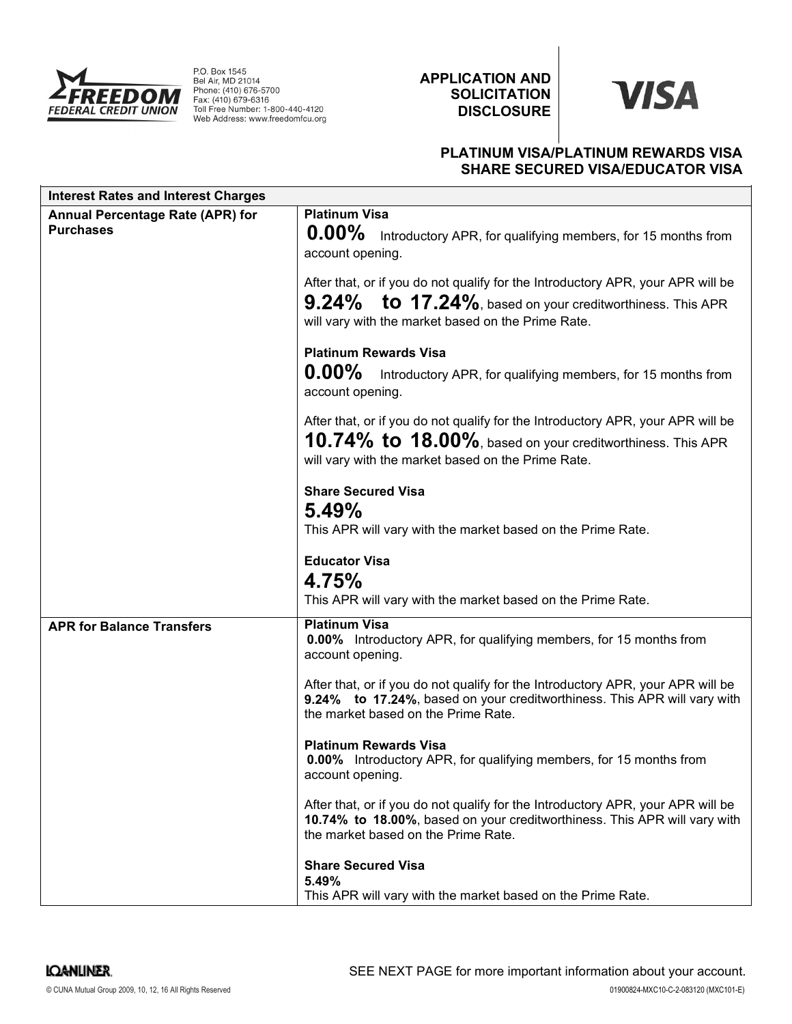

P.O. Box 1545<br>Bel Air, MD 21014<br>Phone: (410) 676-5700<br>Fax: (410) 679-6316 Toll Free Number: 1-800-440-4120 Web Address: www.freedomfcu.org

APPLICATION AND **SOLICITATION** DISCLOSURE

# **VISA**

# PLATINUM VISA/PLATINUM REWARDS VISA SHARE SECURED VISA/EDUCATOR VISA

| <b>Interest Rates and Interest Charges</b>                  |                                                                                                                                                                                                         |
|-------------------------------------------------------------|---------------------------------------------------------------------------------------------------------------------------------------------------------------------------------------------------------|
| <b>Annual Percentage Rate (APR) for</b><br><b>Purchases</b> | <b>Platinum Visa</b><br>$0.00\%$<br>Introductory APR, for qualifying members, for 15 months from<br>account opening.<br>After that, or if you do not qualify for the Introductory APR, your APR will be |
|                                                             | $9.24\%$ to 17.24%, based on your creditworthiness. This APR<br>will vary with the market based on the Prime Rate.                                                                                      |
|                                                             | <b>Platinum Rewards Visa</b><br>$0.00\%$<br>Introductory APR, for qualifying members, for 15 months from<br>account opening.                                                                            |
|                                                             | After that, or if you do not qualify for the Introductory APR, your APR will be<br>10.74% to $18.00\%$ , based on your creditworthiness. This APR<br>will vary with the market based on the Prime Rate. |
|                                                             | <b>Share Secured Visa</b><br>5.49%<br>This APR will vary with the market based on the Prime Rate.                                                                                                       |
|                                                             | <b>Educator Visa</b><br>4.75%<br>This APR will vary with the market based on the Prime Rate.                                                                                                            |
| <b>APR for Balance Transfers</b>                            | <b>Platinum Visa</b><br><b>0.00%</b> Introductory APR, for qualifying members, for 15 months from<br>account opening.                                                                                   |
|                                                             | After that, or if you do not qualify for the Introductory APR, your APR will be<br>9.24% to 17.24%, based on your creditworthiness. This APR will vary with<br>the market based on the Prime Rate.      |
|                                                             | <b>Platinum Rewards Visa</b><br><b>0.00%</b> Introductory APR, for qualifying members, for 15 months from<br>account opening.                                                                           |
|                                                             | After that, or if you do not qualify for the Introductory APR, your APR will be<br>10.74% to 18.00%, based on your creditworthiness. This APR will vary with<br>the market based on the Prime Rate.     |
|                                                             | <b>Share Secured Visa</b><br>5.49%<br>This APR will vary with the market based on the Prime Rate.                                                                                                       |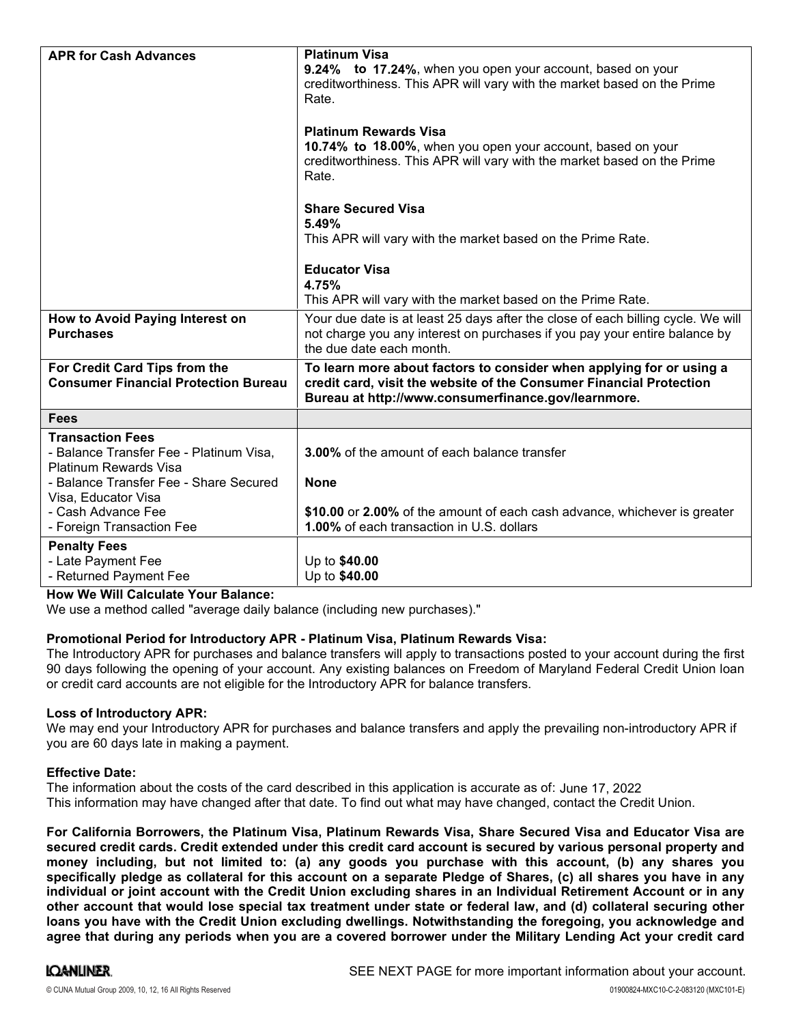| <b>APR for Cash Advances</b>                                                                                                          | <b>Platinum Visa</b><br>9.24% to 17.24%, when you open your account, based on your<br>creditworthiness. This APR will vary with the market based on the Prime<br>Rate.                             |
|---------------------------------------------------------------------------------------------------------------------------------------|----------------------------------------------------------------------------------------------------------------------------------------------------------------------------------------------------|
|                                                                                                                                       | <b>Platinum Rewards Visa</b><br>10.74% to 18.00%, when you open your account, based on your<br>creditworthiness. This APR will vary with the market based on the Prime<br>Rate.                    |
|                                                                                                                                       | <b>Share Secured Visa</b><br>5.49%<br>This APR will vary with the market based on the Prime Rate.                                                                                                  |
|                                                                                                                                       | <b>Educator Visa</b><br>4.75%<br>This APR will vary with the market based on the Prime Rate.                                                                                                       |
| How to Avoid Paying Interest on<br><b>Purchases</b>                                                                                   | Your due date is at least 25 days after the close of each billing cycle. We will<br>not charge you any interest on purchases if you pay your entire balance by<br>the due date each month.         |
| For Credit Card Tips from the<br><b>Consumer Financial Protection Bureau</b>                                                          | To learn more about factors to consider when applying for or using a<br>credit card, visit the website of the Consumer Financial Protection<br>Bureau at http://www.consumerfinance.gov/learnmore. |
| <b>Fees</b>                                                                                                                           |                                                                                                                                                                                                    |
| <b>Transaction Fees</b><br>- Balance Transfer Fee - Platinum Visa,<br>Platinum Rewards Visa<br>- Balance Transfer Fee - Share Secured | <b>3.00%</b> of the amount of each balance transfer<br><b>None</b>                                                                                                                                 |
| Visa, Educator Visa<br>- Cash Advance Fee<br>- Foreign Transaction Fee                                                                | \$10.00 or 2.00% of the amount of each cash advance, whichever is greater<br>1.00% of each transaction in U.S. dollars                                                                             |
| <b>Penalty Fees</b><br>- Late Payment Fee<br>- Returned Payment Fee                                                                   | Up to \$40.00<br>Up to \$40.00                                                                                                                                                                     |

How We Will Calculate Your Balance:

We use a method called "average daily balance (including new purchases)."

## Promotional Period for Introductory APR - Platinum Visa, Platinum Rewards Visa:

The Introductory APR for purchases and balance transfers will apply to transactions posted to your account during the first 90 days following the opening of your account. Any existing balances on Freedom of Maryland Federal Credit Union loan or credit card accounts are not eligible for the Introductory APR for balance transfers.

## Loss of Introductory APR:

We may end your Introductory APR for purchases and balance transfers and apply the prevailing non-introductory APR if you are 60 days late in making a payment.

## Effective Date:

The information about the costs of the card described in this application is accurate as of: June 17, 2022This information may have changed after that date. To find out what may have changed, contact the Credit Union.

For California Borrowers, the Platinum Visa, Platinum Rewards Visa, Share Secured Visa and Educator Visa are secured credit cards. Credit extended under this credit card account is secured by various personal property and money including, but not limited to: (a) any goods you purchase with this account, (b) any shares you specifically pledge as collateral for this account on a separate Pledge of Shares, (c) all shares you have in any individual or joint account with the Credit Union excluding shares in an Individual Retirement Account or in any other account that would lose special tax treatment under state or federal law, and (d) collateral securing other loans you have with the Credit Union excluding dwellings. Notwithstanding the foregoing, you acknowledge and agree that during any periods when you are a covered borrower under the Military Lending Act your credit card